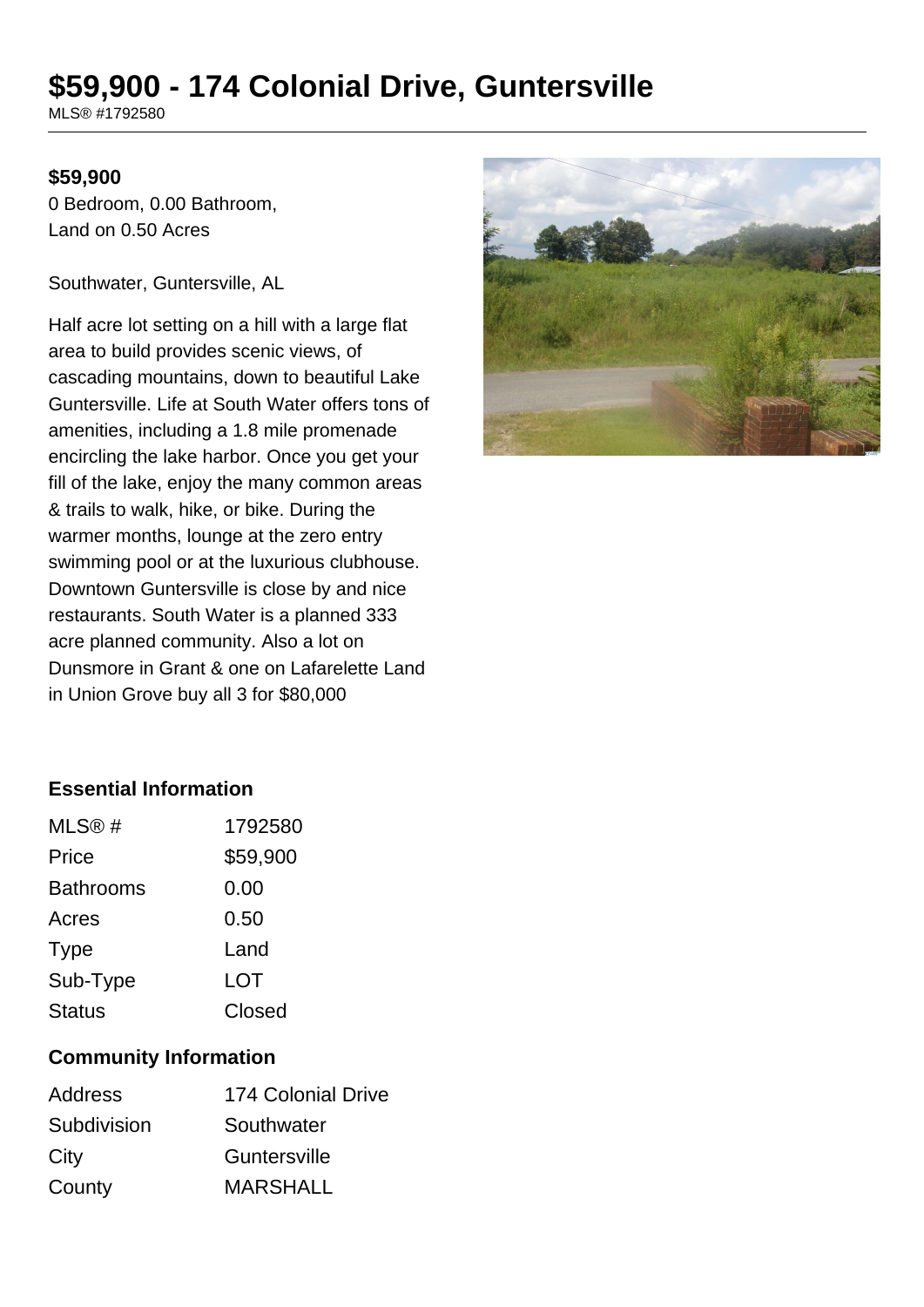# **\$59,900 - 174 Colonial Drive, Guntersville**

MLS® #1792580

#### **\$59,900**

0 Bedroom, 0.00 Bathroom, Land on 0.50 Acres

Southwater, Guntersville, AL

Half acre lot setting on a hill with a large flat area to build provides scenic views, of cascading mountains, down to beautiful Lake Guntersville. Life at South Water offers tons of amenities, including a 1.8 mile promenade encircling the lake harbor. Once you get your fill of the lake, enjoy the many common areas & trails to walk, hike, or bike. During the warmer months, lounge at the zero entry swimming pool or at the luxurious clubhouse. Downtown Guntersville is close by and nice restaurants. South Water is a planned 333 acre planned community. Also a lot on Dunsmore in Grant & one on Lafarelette Land in Union Grove buy all 3 for \$80,000



### **Essential Information**

| MLS@#            | 1792580  |
|------------------|----------|
| Price            | \$59,900 |
| <b>Bathrooms</b> | 0.00     |
| Acres            | 0.50     |
| <b>Type</b>      | Land     |
| Sub-Type         | LOT      |
| <b>Status</b>    | Closed   |

### **Community Information**

| Address     | <b>174 Colonial Drive</b> |
|-------------|---------------------------|
| Subdivision | Southwater                |
| City        | Guntersville              |
| County      | <b>MARSHALL</b>           |